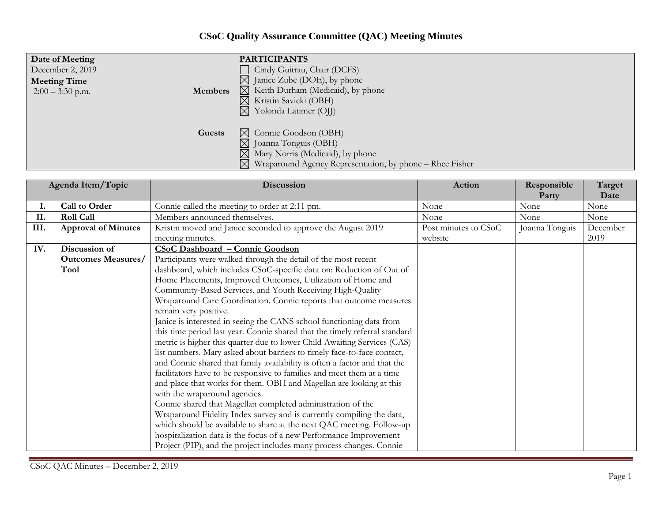## **CSoC Quality Assurance Committee (QAC) Meeting Minutes**

| Date of Meeting<br>December 2, 2019<br><b>Meeting Time</b><br><b>Members</b><br>$2:00 - 3:30$ p.m. | <b>PARTICIPANTS</b><br>Cindy Guitrau, Chair (DCFS)<br>$\boxtimes$ Janice Zube (DOE), by phone<br>$\boxtimes$ Keith Durham (Medicaid), by phone<br>$\boxtimes$ Kristin Savicki (OBH)<br>$\boxtimes$ Yolonda Latimer (OII) |
|----------------------------------------------------------------------------------------------------|--------------------------------------------------------------------------------------------------------------------------------------------------------------------------------------------------------------------------|
| Guests                                                                                             | $\boxtimes$ Connie Goodson (OBH)<br>$\boxtimes$ Joanna Tonguis (OBH)<br>$\boxtimes$ Mary Norris (Medicaid), by phone<br>$\boxtimes$ Wraparound Agency Representation, by phone – Rhee Fisher                             |

| Agenda Item/Topic |                            | Discussion                                                                  | Action               | Responsible    | Target       |
|-------------------|----------------------------|-----------------------------------------------------------------------------|----------------------|----------------|--------------|
| ı.                | Call to Order              | Connie called the meeting to order at 2:11 pm.                              | None                 | Party<br>None  | Date<br>None |
| II.               | <b>Roll Call</b>           | Members announced themselves.                                               | None                 | None           | None         |
| III.              | <b>Approval of Minutes</b> | Kristin moved and Janice seconded to approve the August 2019                | Post minutes to CSoC | Joanna Tonguis | December     |
|                   |                            | meeting minutes.                                                            | website              |                | 2019         |
| IV.               | Discussion of              | <b>CSoC Dashboard - Connie Goodson</b>                                      |                      |                |              |
|                   | <b>Outcomes Measures/</b>  | Participants were walked through the detail of the most recent              |                      |                |              |
|                   | Tool                       | dashboard, which includes CSoC-specific data on: Reduction of Out of        |                      |                |              |
|                   |                            | Home Placements, Improved Outcomes, Utilization of Home and                 |                      |                |              |
|                   |                            | Community-Based Services, and Youth Receiving High-Quality                  |                      |                |              |
|                   |                            | Wraparound Care Coordination. Connie reports that outcome measures          |                      |                |              |
|                   |                            | remain very positive.                                                       |                      |                |              |
|                   |                            | Janice is interested in seeing the CANS school functioning data from        |                      |                |              |
|                   |                            | this time period last year. Connie shared that the timely referral standard |                      |                |              |
|                   |                            | metric is higher this quarter due to lower Child Awaiting Services (CAS)    |                      |                |              |
|                   |                            | list numbers. Mary asked about barriers to timely face-to-face contact,     |                      |                |              |
|                   |                            | and Connie shared that family availability is often a factor and that the   |                      |                |              |
|                   |                            | facilitators have to be responsive to families and meet them at a time      |                      |                |              |
|                   |                            | and place that works for them. OBH and Magellan are looking at this         |                      |                |              |
|                   |                            | with the wraparound agencies.                                               |                      |                |              |
|                   |                            | Connie shared that Magellan completed administration of the                 |                      |                |              |
|                   |                            | Wraparound Fidelity Index survey and is currently compiling the data,       |                      |                |              |
|                   |                            | which should be available to share at the next QAC meeting. Follow-up       |                      |                |              |
|                   |                            | hospitalization data is the focus of a new Performance Improvement          |                      |                |              |
|                   |                            | Project (PIP), and the project includes many process changes. Connie        |                      |                |              |